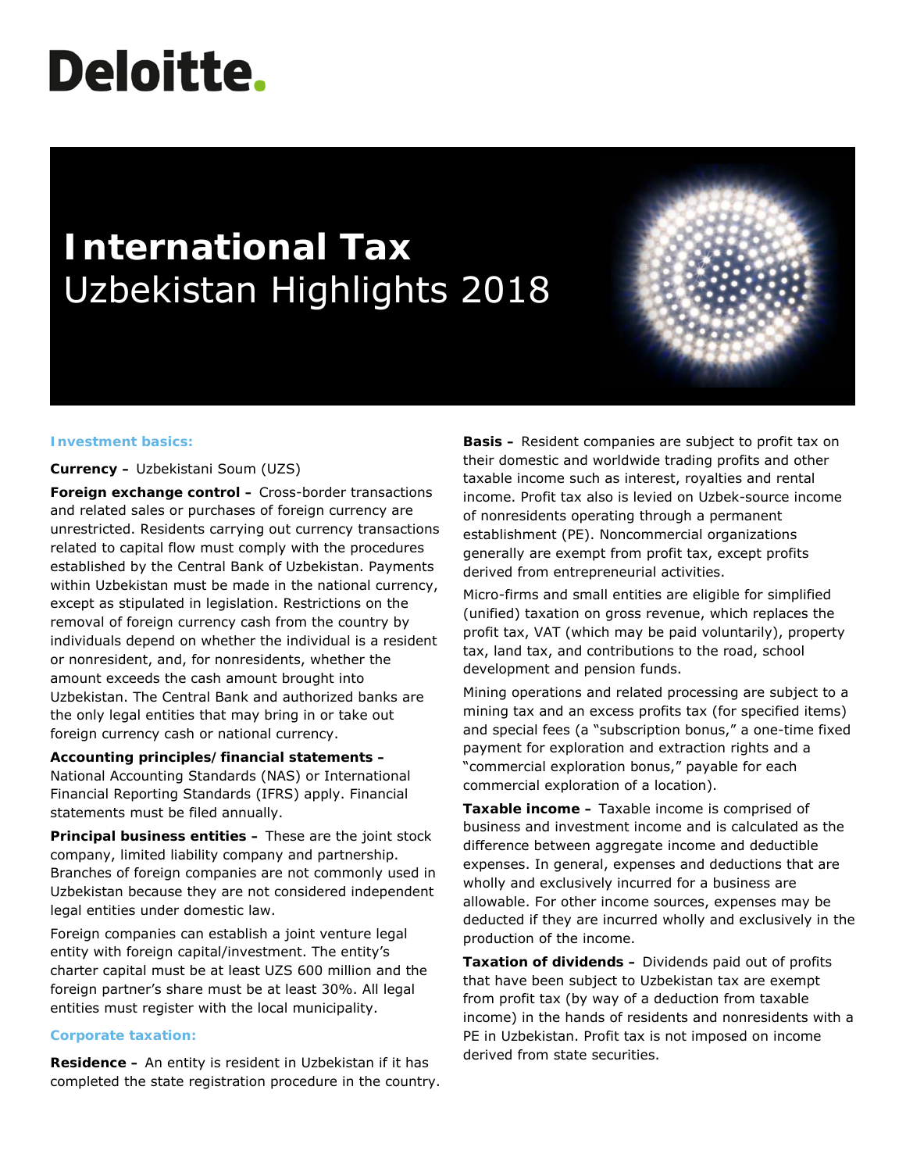# **Deloitte.**

# **International Tax** Uzbekistan Highlights 2018



#### **Investment basics:**

**Currency –** Uzbekistani Soum (UZS)

**Foreign exchange control –** Cross-border transactions and related sales or purchases of foreign currency are unrestricted. Residents carrying out currency transactions related to capital flow must comply with the procedures established by the Central Bank of Uzbekistan. Payments within Uzbekistan must be made in the national currency, except as stipulated in legislation. Restrictions on the removal of foreign currency cash from the country by individuals depend on whether the individual is a resident or nonresident, and, for nonresidents, whether the amount exceeds the cash amount brought into Uzbekistan. The Central Bank and authorized banks are the only legal entities that may bring in or take out foreign currency cash or national currency.

**Accounting principles/financial statements –** National Accounting Standards (NAS) or International Financial Reporting Standards (IFRS) apply. Financial statements must be filed annually.

**Principal business entities –** These are the joint stock company, limited liability company and partnership. Branches of foreign companies are not commonly used in Uzbekistan because they are not considered independent legal entities under domestic law.

Foreign companies can establish a joint venture legal entity with foreign capital/investment. The entity's charter capital must be at least UZS 600 million and the foreign partner's share must be at least 30%. All legal entities must register with the local municipality.

# **Corporate taxation:**

**Residence –** An entity is resident in Uzbekistan if it has completed the state registration procedure in the country. **Basis –** Resident companies are subject to profit tax on their domestic and worldwide trading profits and other taxable income such as interest, royalties and rental income. Profit tax also is levied on Uzbek-source income of nonresidents operating through a permanent establishment (PE). Noncommercial organizations generally are exempt from profit tax, except profits derived from entrepreneurial activities.

Micro-firms and small entities are eligible for simplified (unified) taxation on gross revenue, which replaces the profit tax, VAT (which may be paid voluntarily), property tax, land tax, and contributions to the road, school development and pension funds.

Mining operations and related processing are subject to a mining tax and an excess profits tax (for specified items) and special fees (a "subscription bonus," a one-time fixed payment for exploration and extraction rights and a "commercial exploration bonus," payable for each commercial exploration of a location).

**Taxable income –** Taxable income is comprised of business and investment income and is calculated as the difference between aggregate income and deductible expenses. In general, expenses and deductions that are wholly and exclusively incurred for a business are allowable. For other income sources, expenses may be deducted if they are incurred wholly and exclusively in the production of the income.

**Taxation of dividends –** Dividends paid out of profits that have been subject to Uzbekistan tax are exempt from profit tax (by way of a deduction from taxable income) in the hands of residents and nonresidents with a PE in Uzbekistan. Profit tax is not imposed on income derived from state securities.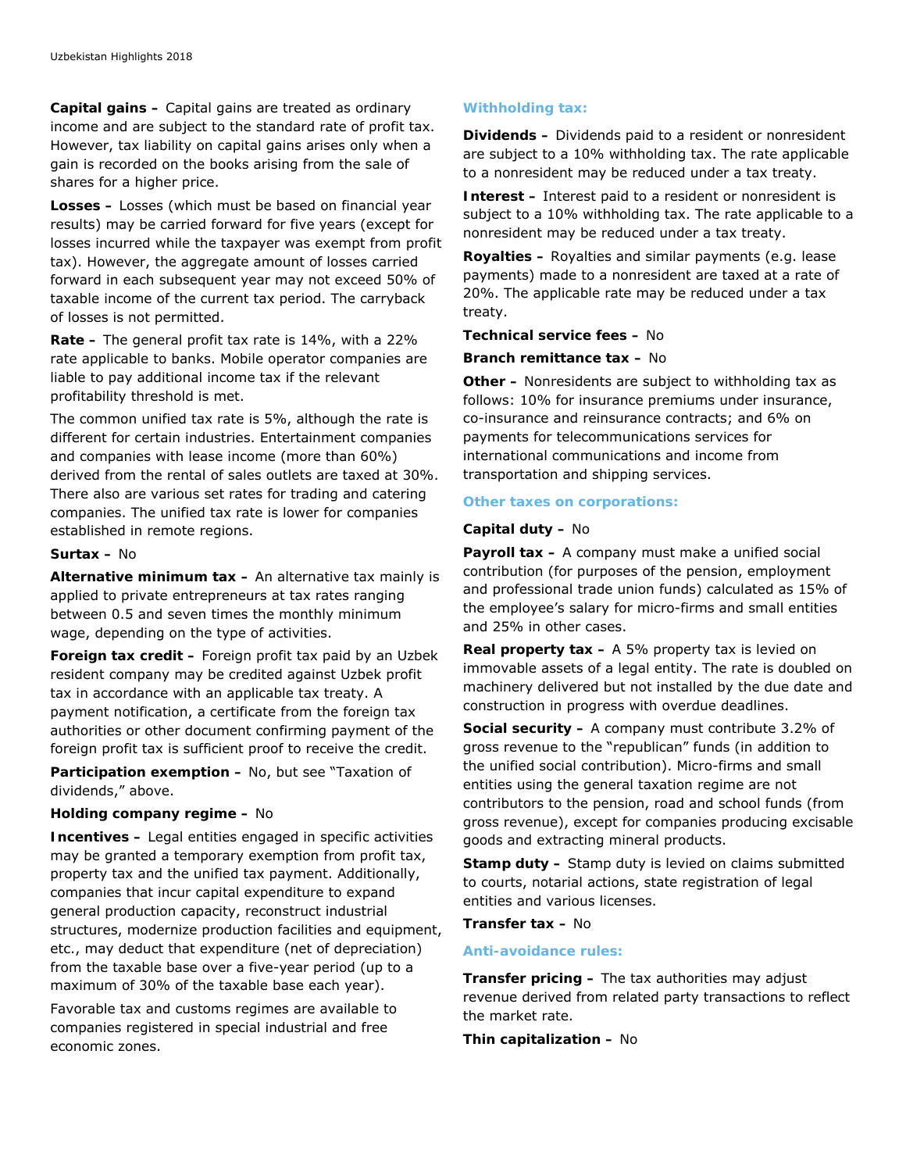**Capital gains –** Capital gains are treated as ordinary income and are subject to the standard rate of profit tax. However, tax liability on capital gains arises only when a gain is recorded on the books arising from the sale of shares for a higher price.

**Losses –** Losses (which must be based on financial year results) may be carried forward for five years (except for losses incurred while the taxpayer was exempt from profit tax). However, the aggregate amount of losses carried forward in each subsequent year may not exceed 50% of taxable income of the current tax period. The carryback of losses is not permitted.

**Rate –** The general profit tax rate is 14%, with a 22% rate applicable to banks. Mobile operator companies are liable to pay additional income tax if the relevant profitability threshold is met.

The common unified tax rate is 5%, although the rate is different for certain industries. Entertainment companies and companies with lease income (more than 60%) derived from the rental of sales outlets are taxed at 30%. There also are various set rates for trading and catering companies. The unified tax rate is lower for companies established in remote regions.

#### **Surtax –** No

**Alternative minimum tax –** An alternative tax mainly is applied to private entrepreneurs at tax rates ranging between 0.5 and seven times the monthly minimum wage, depending on the type of activities.

**Foreign tax credit –** Foreign profit tax paid by an Uzbek resident company may be credited against Uzbek profit tax in accordance with an applicable tax treaty. A payment notification, a certificate from the foreign tax authorities or other document confirming payment of the foreign profit tax is sufficient proof to receive the credit.

**Participation exemption –** No, but see "Taxation of dividends," above.

# **Holding company regime –** No

**Incentives –** Legal entities engaged in specific activities may be granted a temporary exemption from profit tax, property tax and the unified tax payment. Additionally, companies that incur capital expenditure to expand general production capacity, reconstruct industrial structures, modernize production facilities and equipment, etc., may deduct that expenditure (net of depreciation) from the taxable base over a five-year period (up to a maximum of 30% of the taxable base each year).

Favorable tax and customs regimes are available to companies registered in special industrial and free economic zones.

# **Withholding tax:**

**Dividends –** Dividends paid to a resident or nonresident are subject to a 10% withholding tax. The rate applicable to a nonresident may be reduced under a tax treaty.

**Interest –** Interest paid to a resident or nonresident is subject to a 10% withholding tax. The rate applicable to a nonresident may be reduced under a tax treaty.

**Royalties –** Royalties and similar payments (e.g. lease payments) made to a nonresident are taxed at a rate of 20%. The applicable rate may be reduced under a tax treaty.

**Technical service fees –** No

**Branch remittance tax –** No

**Other –** Nonresidents are subject to withholding tax as follows: 10% for insurance premiums under insurance, со-insurance and reinsurance contracts; and 6% on payments for telecommunications services for international communications and income from transportation and shipping services.

# **Other taxes on corporations:**

#### **Capital duty –** No

**Payroll tax –** A company must make a unified social contribution (for purposes of the pension, employment and professional trade union funds) calculated as 15% of the employee's salary for micro-firms and small entities and 25% in other cases.

**Real property tax –** A 5% property tax is levied on immovable assets of a legal entity. The rate is doubled on machinery delivered but not installed by the due date and construction in progress with overdue deadlines.

**Social security –** A company must contribute 3.2% of gross revenue to the "republican" funds (in addition to the unified social contribution). Micro-firms and small entities using the general taxation regime are not contributors to the pension, road and school funds (from gross revenue), except for companies producing excisable goods and extracting mineral products.

**Stamp duty –** Stamp duty is levied on claims submitted to courts, notarial actions, state registration of legal entities and various licenses.

**Transfer tax –** No

# **Anti-avoidance rules:**

**Transfer pricing –** The tax authorities may adjust revenue derived from related party transactions to reflect the market rate.

**Thin capitalization –** No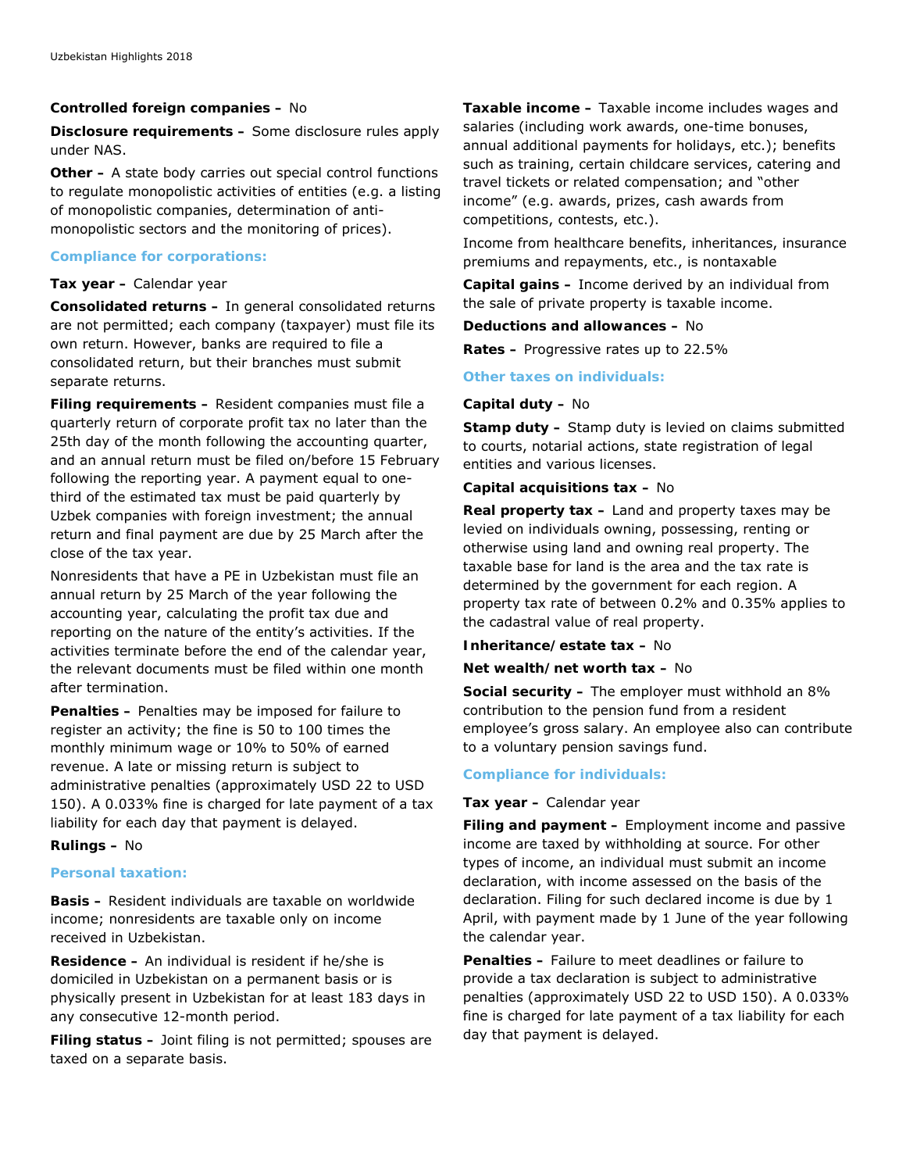#### **Controlled foreign companies –** No

**Disclosure requirements –** Some disclosure rules apply under NAS.

**Other –** A state body carries out special control functions to regulate monopolistic activities of entities (e.g. a listing of monopolistic companies, determination of antimonopolistic sectors and the monitoring of prices).

#### **Compliance for corporations:**

#### **Tax year –** Calendar year

**Consolidated returns –** In general consolidated returns are not permitted; each company (taxpayer) must file its own return. However, banks are required to file a consolidated return, but their branches must submit separate returns.

**Filing requirements –** Resident companies must file a quarterly return of corporate profit tax no later than the 25th day of the month following the accounting quarter, and an annual return must be filed on/before 15 February following the reporting year. A payment equal to onethird of the estimated tax must be paid quarterly by Uzbek companies with foreign investment; the annual return and final payment are due by 25 March after the close of the tax year.

Nonresidents that have a PE in Uzbekistan must file an annual return by 25 March of the year following the accounting year, calculating the profit tax due and reporting on the nature of the entity's activities. If the activities terminate before the end of the calendar year, the relevant documents must be filed within one month after termination.

**Penalties –** Penalties may be imposed for failure to register an activity; the fine is 50 to 100 times the monthly minimum wage or 10% to 50% of earned revenue. A late or missing return is subject to administrative penalties (approximately USD 22 to USD 150). A 0.033% fine is charged for late payment of a tax liability for each day that payment is delayed.

# **Rulings –** No

#### **Personal taxation:**

**Basis –** Resident individuals are taxable on worldwide income; nonresidents are taxable only on income received in Uzbekistan.

**Residence –** An individual is resident if he/she is domiciled in Uzbekistan on a permanent basis or is physically present in Uzbekistan for at least 183 days in any consecutive 12-month period.

**Filing status –** Joint filing is not permitted; spouses are taxed on a separate basis.

**Taxable income –** Taxable income includes wages and salaries (including work awards, one-time bonuses, annual additional payments for holidays, etc.); benefits such as training, certain childcare services, catering and travel tickets or related compensation; and "other income" (e.g. awards, prizes, cash awards from competitions, contests, etc.).

Income from healthcare benefits, inheritances, insurance premiums and repayments, etc., is nontaxable

**Capital gains –** Income derived by an individual from the sale of private property is taxable income.

**Deductions and allowances –** No

**Rates –** Progressive rates up to 22.5%

#### **Other taxes on individuals:**

#### **Capital duty –** No

**Stamp duty –** Stamp duty is levied on claims submitted to courts, notarial actions, state registration of legal entities and various licenses.

### **Capital acquisitions tax –** No

**Real property tax –** Land and property taxes may be levied on individuals owning, possessing, renting or otherwise using land and owning real property. The taxable base for land is the area and the tax rate is determined by the government for each region. A property tax rate of between 0.2% and 0.35% applies to the cadastral value of real property.

**Inheritance/estate tax –** No

**Net wealth/net worth tax –** No

**Social security –** The employer must withhold an 8% contribution to the pension fund from a resident employee's gross salary. An employee also can contribute to a voluntary pension savings fund.

# **Compliance for individuals:**

#### **Tax year –** Calendar year

**Filing and payment –** Employment income and passive income are taxed by withholding at source. For other types of income, an individual must submit an income declaration, with income assessed on the basis of the declaration. Filing for such declared income is due by 1 April, with payment made by 1 June of the year following the calendar year.

**Penalties –** Failure to meet deadlines or failure to provide a tax declaration is subject to administrative penalties (approximately USD 22 to USD 150). A 0.033% fine is charged for late payment of a tax liability for each day that payment is delayed.